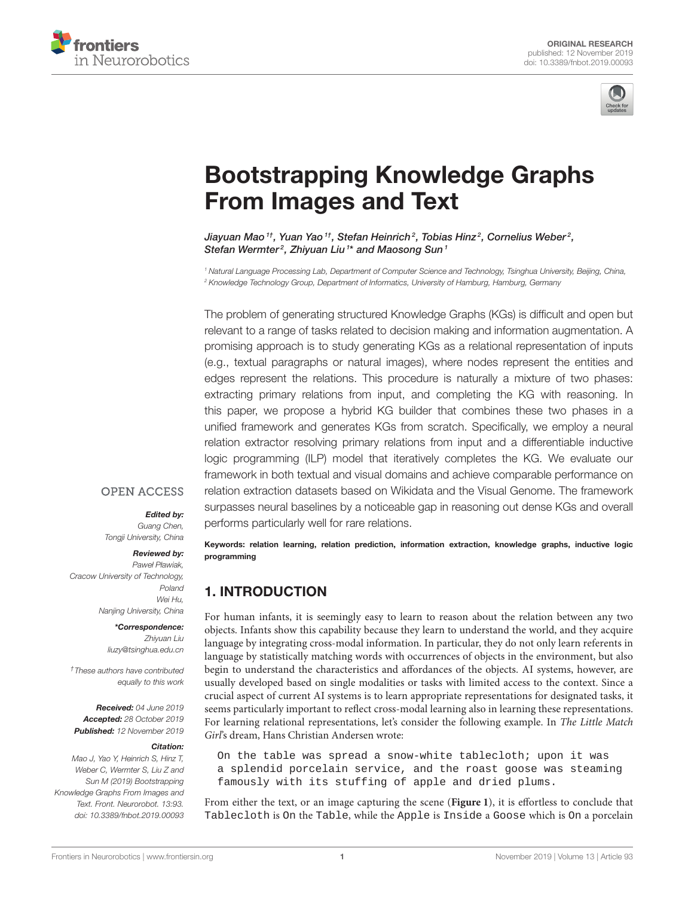



# [Bootstrapping Knowledge Graphs](https://www.frontiersin.org/articles/10.3389/fnbot.2019.00093/full) From Images and Text

Jiayuan Mao  $^{1}$ , [Yuan Yao](http://loop.frontiersin.org/people/679920/overview)  $^{1}$ , [Stefan Heinrich](http://loop.frontiersin.org/people/679458/overview)  $^{2}$ , [Tobias Hinz](http://loop.frontiersin.org/people/811481/overview)  $^{2}$ , [Cornelius Weber](http://loop.frontiersin.org/people/731/overview)  $^{2}$ , [Stefan Wermter](http://loop.frontiersin.org/people/21776/overview)<sup>2</sup>, [Zhiyuan Liu](http://loop.frontiersin.org/people/811355/overview)<sup>1\*</sup> and Maosong Sun<sup>1</sup>

*<sup>1</sup> Natural Language Processing Lab, Department of Computer Science and Technology, Tsinghua University, Beijing, China, <sup>2</sup> Knowledge Technology Group, Department of Informatics, University of Hamburg, Hamburg, Germany*

The problem of generating structured Knowledge Graphs (KGs) is difficult and open but relevant to a range of tasks related to decision making and information augmentation. A promising approach is to study generating KGs as a relational representation of inputs (e.g., textual paragraphs or natural images), where nodes represent the entities and edges represent the relations. This procedure is naturally a mixture of two phases: extracting primary relations from input, and completing the KG with reasoning. In this paper, we propose a hybrid KG builder that combines these two phases in a unified framework and generates KGs from scratch. Specifically, we employ a neural relation extractor resolving primary relations from input and a differentiable inductive logic programming (ILP) model that iteratively completes the KG. We evaluate our framework in both textual and visual domains and achieve comparable performance on relation extraction datasets based on Wikidata and the Visual Genome. The framework surpasses neural baselines by a noticeable gap in reasoning out dense KGs and overall performs particularly well for rare relations.

#### **OPEN ACCESS**

#### Edited by:

*Guang Chen, Tongji University, China*

#### Reviewed by:

*Paweł Pławiak, Cracow University of Technology, Poland Wei Hu, Nanjing University, China*

#### \*Correspondence: *Zhiyuan Liu*

*[liuzy@tsinghua.edu.cn](mailto:liuzy@tsinghua.edu.cn)*

*†These authors have contributed equally to this work*

Received: *04 June 2019* Accepted: *28 October 2019* Published: *12 November 2019*

#### Citation:

*Mao J, Yao Y, Heinrich S, Hinz T, Weber C, Wermter S, Liu Z and Sun M (2019) Bootstrapping Knowledge Graphs From Images and Text. Front. Neurorobot. 13:93. doi: [10.3389/fnbot.2019.00093](https://doi.org/10.3389/fnbot.2019.00093)*

Keywords: relation learning, relation prediction, information extraction, knowledge graphs, inductive logic programming

### 1. INTRODUCTION

For human infants, it is seemingly easy to learn to reason about the relation between any two objects. Infants show this capability because they learn to understand the world, and they acquire language by integrating cross-modal information. In particular, they do not only learn referents in language by statistically matching words with occurrences of objects in the environment, but also begin to understand the characteristics and affordances of the objects. AI systems, however, are usually developed based on single modalities or tasks with limited access to the context. Since a crucial aspect of current AI systems is to learn appropriate representations for designated tasks, it seems particularly important to reflect cross-modal learning also in learning these representations. For learning relational representations, let's consider the following example. In The Little Match Girl's dream, Hans Christian Andersen wrote:

On the table was spread a snow-white tablecloth; upon it was a splendid porcelain service, and the roast goose was steaming famously with its stuffing of apple and dried plums.

From either the text, or an image capturing the scene (**[Figure 1](#page-1-0)**), it is effortless to conclude that Tablecloth is On the Table, while the Apple is Inside a Goose which is On a porcelain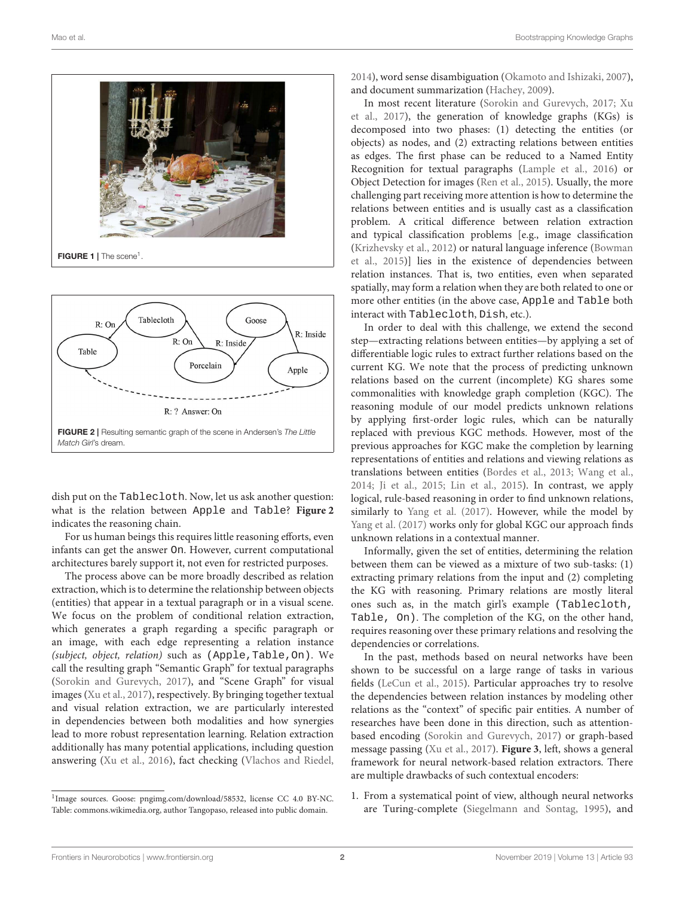

<span id="page-1-0"></span>

<span id="page-1-1"></span>dish put on the Tablecloth. Now, let us ask another question: what is the relation between Apple and Table? **[Figure 2](#page-1-1)** indicates the reasoning chain.

For us human beings this requires little reasoning efforts, even infants can get the answer On. However, current computational architectures barely support it, not even for restricted purposes.

The process above can be more broadly described as relation extraction, which is to determine the relationship between objects (entities) that appear in a textual paragraph or in a visual scene. We focus on the problem of conditional relation extraction, which generates a graph regarding a specific paragraph or an image, with each edge representing a relation instance (subject, object, relation) such as (Apple,Table,On). We call the resulting graph "Semantic Graph" for textual paragraphs [\(Sorokin and Gurevych, 2017\)](#page-11-0), and "Scene Graph" for visual images [\(Xu et al., 2017\)](#page-11-1), respectively. By bringing together textual and visual relation extraction, we are particularly interested in dependencies between both modalities and how synergies lead to more robust representation learning. Relation extraction additionally has many potential applications, including question answering [\(Xu et al., 2016\)](#page-11-2), fact checking [\(Vlachos and Riedel,](#page-11-3)

[2014\)](#page-11-3), word sense disambiguation [\(Okamoto and Ishizaki, 2007\)](#page-11-4), and document summarization [\(Hachey, 2009\)](#page-10-0).

In most recent literature [\(Sorokin and Gurevych, 2017;](#page-11-0) Xu et al., [2017\)](#page-11-1), the generation of knowledge graphs (KGs) is decomposed into two phases: (1) detecting the entities (or objects) as nodes, and (2) extracting relations between entities as edges. The first phase can be reduced to a Named Entity Recognition for textual paragraphs [\(Lample et al., 2016\)](#page-10-1) or Object Detection for images [\(Ren et al., 2015\)](#page-11-5). Usually, the more challenging part receiving more attention is how to determine the relations between entities and is usually cast as a classification problem. A critical difference between relation extraction and typical classification problems [e.g., image classification [\(Krizhevsky et al., 2012\)](#page-10-2) or natural language inference (Bowman et al., [2015\)](#page-10-3)] lies in the existence of dependencies between relation instances. That is, two entities, even when separated spatially, may form a relation when they are both related to one or more other entities (in the above case, Apple and Table both interact with Tablecloth, Dish, etc.).

In order to deal with this challenge, we extend the second step—extracting relations between entities—by applying a set of differentiable logic rules to extract further relations based on the current KG. We note that the process of predicting unknown relations based on the current (incomplete) KG shares some commonalities with knowledge graph completion (KGC). The reasoning module of our model predicts unknown relations by applying first-order logic rules, which can be naturally replaced with previous KGC methods. However, most of the previous approaches for KGC make the completion by learning representations of entities and relations and viewing relations as translations between entities [\(Bordes et al., 2013;](#page-10-4) [Wang et al.,](#page-11-6) [2014;](#page-11-6) [Ji et al., 2015;](#page-10-5) [Lin et al., 2015\)](#page-10-6). In contrast, we apply logical, rule-based reasoning in order to find unknown relations, similarly to [Yang et al. \(2017\)](#page-11-7). However, while the model by [Yang et al. \(2017\)](#page-11-7) works only for global KGC our approach finds unknown relations in a contextual manner.

Informally, given the set of entities, determining the relation between them can be viewed as a mixture of two sub-tasks: (1) extracting primary relations from the input and (2) completing the KG with reasoning. Primary relations are mostly literal ones such as, in the match girl's example (Tablecloth, Table, On). The completion of the KG, on the other hand, requires reasoning over these primary relations and resolving the dependencies or correlations.

In the past, methods based on neural networks have been shown to be successful on a large range of tasks in various fields [\(LeCun et al., 2015\)](#page-10-7). Particular approaches try to resolve the dependencies between relation instances by modeling other relations as the "context" of specific pair entities. A number of researches have been done in this direction, such as attentionbased encoding [\(Sorokin and Gurevych, 2017\)](#page-11-0) or graph-based message passing [\(Xu et al., 2017\)](#page-11-1). **[Figure 3](#page-2-0)**, left, shows a general framework for neural network-based relation extractors. There are multiple drawbacks of such contextual encoders:

1. From a systematical point of view, although neural networks are Turing-complete [\(Siegelmann and Sontag, 1995\)](#page-11-8), and

<sup>&</sup>lt;sup>1</sup>Image sources. Goose: pngimg.com/download/58532, license CC 4.0 BY-NC. Table: commons[.wikimedia.org,](https://www.wikimedia.org) author Tangopaso, released into public domain.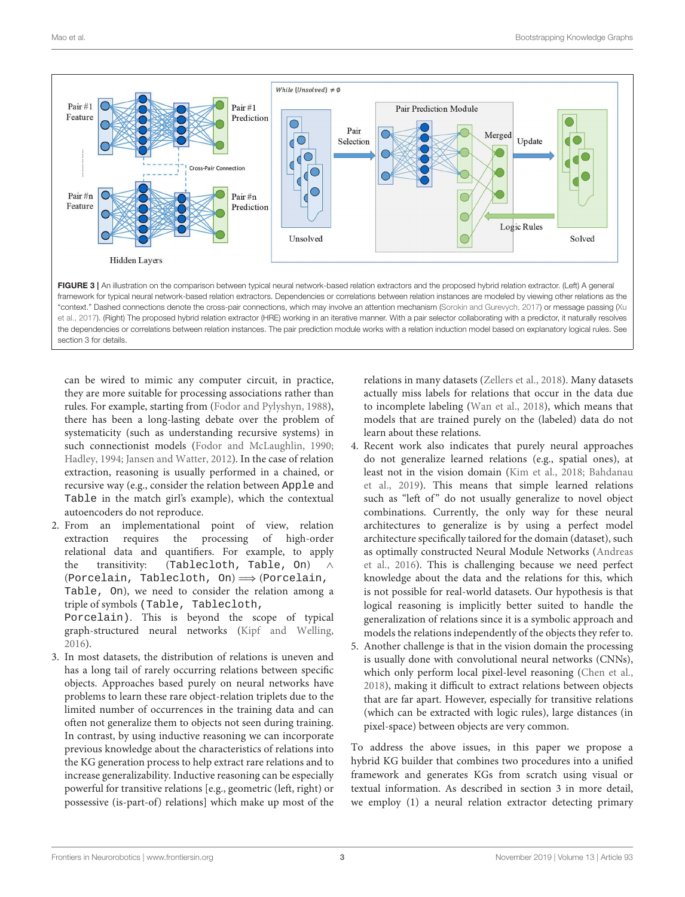<span id="page-2-0"></span>section 3 for details



can be wired to mimic any computer circuit, in practice, they are more suitable for processing associations rather than rules. For example, starting from [\(Fodor and Pylyshyn, 1988\)](#page-10-8), there has been a long-lasting debate over the problem of systematicity (such as understanding recursive systems) in such connectionist models [\(Fodor and McLaughlin, 1990;](#page-10-9) [Hadley, 1994;](#page-10-10) [Jansen and Watter, 2012\)](#page-10-11). In the case of relation extraction, reasoning is usually performed in a chained, or recursive way (e.g., consider the relation between Apple and Table in the match girl's example), which the contextual autoencoders do not reproduce.

- 2. From an implementational point of view, relation extraction requires the processing of high-order relational data and quantifiers. For example, to apply the transitivity: (Tablecloth, Table, On) ∧ (Porcelain, Tablecloth, On)  $\Longrightarrow$  (Porcelain, Table, On), we need to consider the relation among a triple of symbols (Table, Tablecloth, Porcelain). This is beyond the scope of typical graph-structured neural networks [\(Kipf and Welling,](#page-10-12) [2016\)](#page-10-12).
- 3. In most datasets, the distribution of relations is uneven and has a long tail of rarely occurring relations between specific objects. Approaches based purely on neural networks have problems to learn these rare object-relation triplets due to the limited number of occurrences in the training data and can often not generalize them to objects not seen during training. In contrast, by using inductive reasoning we can incorporate previous knowledge about the characteristics of relations into the KG generation process to help extract rare relations and to increase generalizability. Inductive reasoning can be especially powerful for transitive relations [e.g., geometric (left, right) or possessive (is-part-of) relations] which make up most of the

relations in many datasets [\(Zellers et al., 2018\)](#page-11-9). Many datasets actually miss labels for relations that occur in the data due to incomplete labeling [\(Wan et al., 2018\)](#page-11-10), which means that models that are trained purely on the (labeled) data do not learn about these relations.

- 4. Recent work also indicates that purely neural approaches do not generalize learned relations (e.g., spatial ones), at least not in the vision domain [\(Kim et al., 2018;](#page-10-13) Bahdanau et al., [2019\)](#page-10-14). This means that simple learned relations such as "left of" do not usually generalize to novel object combinations. Currently, the only way for these neural architectures to generalize is by using a perfect model architecture specifically tailored for the domain (dataset), such as optimally constructed Neural Module Networks (Andreas et al., [2016\)](#page-10-15). This is challenging because we need perfect knowledge about the data and the relations for this, which is not possible for real-world datasets. Our hypothesis is that logical reasoning is implicitly better suited to handle the generalization of relations since it is a symbolic approach and models the relations independently of the objects they refer to.
- 5. Another challenge is that in the vision domain the processing is usually done with convolutional neural networks (CNNs), which only perform local pixel-level reasoning [\(Chen et al.,](#page-10-16) [2018\)](#page-10-16), making it difficult to extract relations between objects that are far apart. However, especially for transitive relations (which can be extracted with logic rules), large distances (in pixel-space) between objects are very common.

To address the above issues, in this paper we propose a hybrid KG builder that combines two procedures into a unified framework and generates KGs from scratch using visual or textual information. As described in section 3 in more detail, we employ (1) a neural relation extractor detecting primary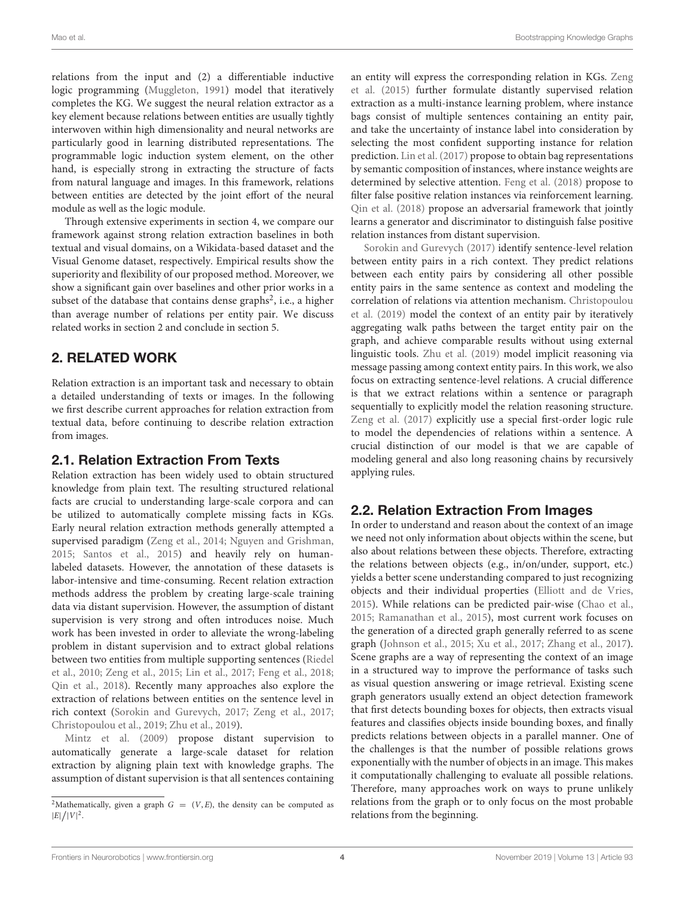relations from the input and (2) a differentiable inductive logic programming [\(Muggleton, 1991\)](#page-10-17) model that iteratively completes the KG. We suggest the neural relation extractor as a key element because relations between entities are usually tightly interwoven within high dimensionality and neural networks are particularly good in learning distributed representations. The programmable logic induction system element, on the other hand, is especially strong in extracting the structure of facts from natural language and images. In this framework, relations between entities are detected by the joint effort of the neural module as well as the logic module.

Through extensive experiments in section 4, we compare our framework against strong relation extraction baselines in both textual and visual domains, on a Wikidata-based dataset and the Visual Genome dataset, respectively. Empirical results show the superiority and flexibility of our proposed method. Moreover, we show a significant gain over baselines and other prior works in a subset of the database that contains dense graphs<sup>[2](#page-3-0)</sup>, i.e., a higher than average number of relations per entity pair. We discuss related works in section 2 and conclude in section 5.

# 2. RELATED WORK

Relation extraction is an important task and necessary to obtain a detailed understanding of texts or images. In the following we first describe current approaches for relation extraction from textual data, before continuing to describe relation extraction from images.

### 2.1. Relation Extraction From Texts

Relation extraction has been widely used to obtain structured knowledge from plain text. The resulting structured relational facts are crucial to understanding large-scale corpora and can be utilized to automatically complete missing facts in KGs. Early neural relation extraction methods generally attempted a supervised paradigm [\(Zeng et al., 2014;](#page-11-11) [Nguyen and Grishman,](#page-10-18) [2015;](#page-10-18) [Santos et al., 2015\)](#page-11-12) and heavily rely on humanlabeled datasets. However, the annotation of these datasets is labor-intensive and time-consuming. Recent relation extraction methods address the problem by creating large-scale training data via distant supervision. However, the assumption of distant supervision is very strong and often introduces noise. Much work has been invested in order to alleviate the wrong-labeling problem in distant supervision and to extract global relations between two entities from multiple supporting sentences (Riedel et al., [2010;](#page-11-13) [Zeng et al., 2015;](#page-11-14) [Lin et al., 2017;](#page-10-19) [Feng et al., 2018;](#page-10-20) [Qin et al., 2018\)](#page-11-15). Recently many approaches also explore the extraction of relations between entities on the sentence level in rich context [\(Sorokin and Gurevych, 2017;](#page-11-0) [Zeng et al., 2017;](#page-11-16) [Christopoulou et al., 2019;](#page-10-21) [Zhu et al., 2019\)](#page-11-17).

[Mintz et al. \(2009\)](#page-10-22) propose distant supervision to automatically generate a large-scale dataset for relation extraction by aligning plain text with knowledge graphs. The assumption of distant supervision is that all sentences containing an entity will express the corresponding relation in KGs. Zeng et al. [\(2015\)](#page-11-14) further formulate distantly supervised relation extraction as a multi-instance learning problem, where instance bags consist of multiple sentences containing an entity pair, and take the uncertainty of instance label into consideration by selecting the most confident supporting instance for relation prediction. [Lin et al. \(2017\)](#page-10-19) propose to obtain bag representations by semantic composition of instances, where instance weights are determined by selective attention. [Feng et al. \(2018\)](#page-10-20) propose to filter false positive relation instances via reinforcement learning. [Qin et al. \(2018\)](#page-11-15) propose an adversarial framework that jointly learns a generator and discriminator to distinguish false positive relation instances from distant supervision.

[Sorokin and Gurevych \(2017\)](#page-11-0) identify sentence-level relation between entity pairs in a rich context. They predict relations between each entity pairs by considering all other possible entity pairs in the same sentence as context and modeling the correlation of relations via attention mechanism. Christopoulou et al. [\(2019\)](#page-10-21) model the context of an entity pair by iteratively aggregating walk paths between the target entity pair on the graph, and achieve comparable results without using external linguistic tools. [Zhu et al. \(2019\)](#page-11-17) model implicit reasoning via message passing among context entity pairs. In this work, we also focus on extracting sentence-level relations. A crucial difference is that we extract relations within a sentence or paragraph sequentially to explicitly model the relation reasoning structure. [Zeng et al. \(2017\)](#page-11-16) explicitly use a special first-order logic rule to model the dependencies of relations within a sentence. A crucial distinction of our model is that we are capable of modeling general and also long reasoning chains by recursively applying rules.

# 2.2. Relation Extraction From Images

In order to understand and reason about the context of an image we need not only information about objects within the scene, but also about relations between these objects. Therefore, extracting the relations between objects (e.g., in/on/under, support, etc.) yields a better scene understanding compared to just recognizing objects and their individual properties [\(Elliott and de Vries,](#page-10-23) [2015\)](#page-10-23). While relations can be predicted pair-wise [\(Chao et al.,](#page-10-24) [2015;](#page-10-24) [Ramanathan et al., 2015\)](#page-11-18), most current work focuses on the generation of a directed graph generally referred to as scene graph [\(Johnson et al., 2015;](#page-10-25) [Xu et al., 2017;](#page-11-1) [Zhang et al., 2017\)](#page-11-19). Scene graphs are a way of representing the context of an image in a structured way to improve the performance of tasks such as visual question answering or image retrieval. Existing scene graph generators usually extend an object detection framework that first detects bounding boxes for objects, then extracts visual features and classifies objects inside bounding boxes, and finally predicts relations between objects in a parallel manner. One of the challenges is that the number of possible relations grows exponentially with the number of objects in an image. This makes it computationally challenging to evaluate all possible relations. Therefore, many approaches work on ways to prune unlikely relations from the graph or to only focus on the most probable relations from the beginning.

<span id="page-3-0"></span><sup>&</sup>lt;sup>2</sup>Mathematically, given a graph  $G = (V, E)$ , the density can be computed as  $|E|/|V|^2$ .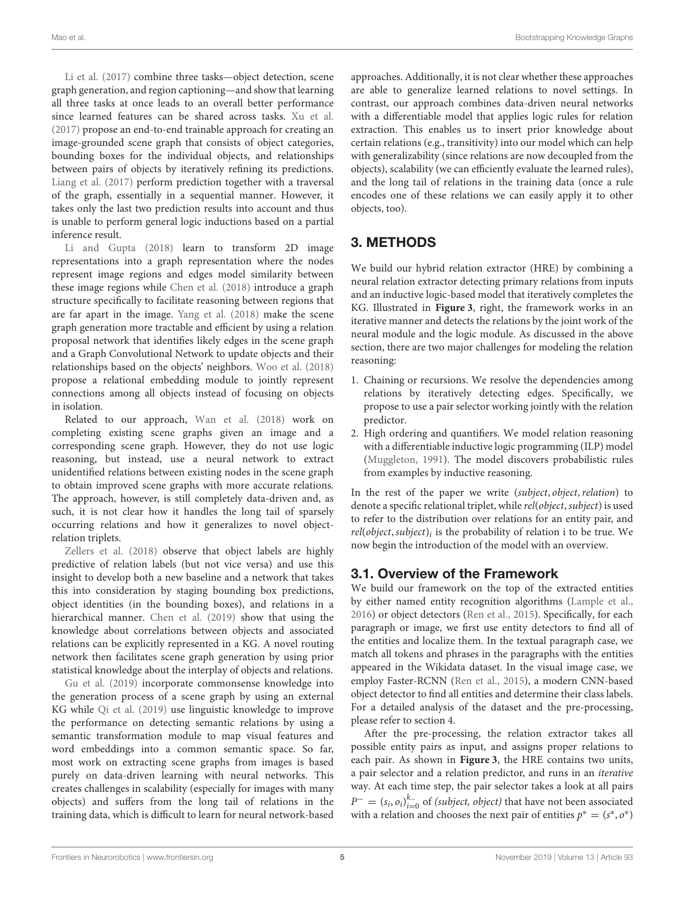[Li et al. \(2017\)](#page-10-26) combine three tasks—object detection, scene graph generation, and region captioning—and show that learning all three tasks at once leads to an overall better performance since learned features can be shared across tasks. [Xu et al.](#page-11-1) [\(2017\)](#page-11-1) propose an end-to-end trainable approach for creating an image-grounded scene graph that consists of object categories, bounding boxes for the individual objects, and relationships between pairs of objects by iteratively refining its predictions. [Liang et al. \(2017\)](#page-10-27) perform prediction together with a traversal of the graph, essentially in a sequential manner. However, it takes only the last two prediction results into account and thus is unable to perform general logic inductions based on a partial inference result.

[Li and Gupta \(2018\)](#page-10-28) learn to transform 2D image representations into a graph representation where the nodes represent image regions and edges model similarity between these image regions while [Chen et al. \(2018\)](#page-10-16) introduce a graph structure specifically to facilitate reasoning between regions that are far apart in the image. [Yang et al. \(2018\)](#page-11-20) make the scene graph generation more tractable and efficient by using a relation proposal network that identifies likely edges in the scene graph and a Graph Convolutional Network to update objects and their relationships based on the objects' neighbors. [Woo et al. \(2018\)](#page-11-21) propose a relational embedding module to jointly represent connections among all objects instead of focusing on objects in isolation.

Related to our approach, [Wan et al. \(2018\)](#page-11-10) work on completing existing scene graphs given an image and a corresponding scene graph. However, they do not use logic reasoning, but instead, use a neural network to extract unidentified relations between existing nodes in the scene graph to obtain improved scene graphs with more accurate relations. The approach, however, is still completely data-driven and, as such, it is not clear how it handles the long tail of sparsely occurring relations and how it generalizes to novel objectrelation triplets.

[Zellers et al. \(2018\)](#page-11-9) observe that object labels are highly predictive of relation labels (but not vice versa) and use this insight to develop both a new baseline and a network that takes this into consideration by staging bounding box predictions, object identities (in the bounding boxes), and relations in a hierarchical manner. [Chen et al. \(2019\)](#page-10-29) show that using the knowledge about correlations between objects and associated relations can be explicitly represented in a KG. A novel routing network then facilitates scene graph generation by using prior statistical knowledge about the interplay of objects and relations.

[Gu et al. \(2019\)](#page-10-30) incorporate commonsense knowledge into the generation process of a scene graph by using an external KG while [Qi et al. \(2019\)](#page-11-22) use linguistic knowledge to improve the performance on detecting semantic relations by using a semantic transformation module to map visual features and word embeddings into a common semantic space. So far, most work on extracting scene graphs from images is based purely on data-driven learning with neural networks. This creates challenges in scalability (especially for images with many objects) and suffers from the long tail of relations in the training data, which is difficult to learn for neural network-based approaches. Additionally, it is not clear whether these approaches are able to generalize learned relations to novel settings. In contrast, our approach combines data-driven neural networks with a differentiable model that applies logic rules for relation extraction. This enables us to insert prior knowledge about certain relations (e.g., transitivity) into our model which can help with generalizability (since relations are now decoupled from the objects), scalability (we can efficiently evaluate the learned rules), and the long tail of relations in the training data (once a rule encodes one of these relations we can easily apply it to other objects, too).

# 3. METHODS

We build our hybrid relation extractor (HRE) by combining a neural relation extractor detecting primary relations from inputs and an inductive logic-based model that iteratively completes the KG. Illustrated in **[Figure 3](#page-2-0)**, right, the framework works in an iterative manner and detects the relations by the joint work of the neural module and the logic module. As discussed in the above section, there are two major challenges for modeling the relation reasoning:

- 1. Chaining or recursions. We resolve the dependencies among relations by iteratively detecting edges. Specifically, we propose to use a pair selector working jointly with the relation predictor.
- 2. High ordering and quantifiers. We model relation reasoning with a differentiable inductive logic programming (ILP) model [\(Muggleton, 1991\)](#page-10-17). The model discovers probabilistic rules from examples by inductive reasoning.

In the rest of the paper we write (subject, object, relation) to denote a specific relational triplet, while rel(object, subject) is used to refer to the distribution over relations for an entity pair, and  $rel(object, subject)_i$  is the probability of relation i to be true. We now begin the introduction of the model with an overview.

### 3.1. Overview of the Framework

We build our framework on the top of the extracted entities by either named entity recognition algorithms [\(Lample et al.,](#page-10-1) [2016\)](#page-10-1) or object detectors [\(Ren et al., 2015\)](#page-11-5). Specifically, for each paragraph or image, we first use entity detectors to find all of the entities and localize them. In the textual paragraph case, we match all tokens and phrases in the paragraphs with the entities appeared in the Wikidata dataset. In the visual image case, we employ Faster-RCNN [\(Ren et al., 2015\)](#page-11-5), a modern CNN-based object detector to find all entities and determine their class labels. For a detailed analysis of the dataset and the pre-processing, please refer to section 4.

After the pre-processing, the relation extractor takes all possible entity pairs as input, and assigns proper relations to each pair. As shown in **[Figure 3](#page-2-0)**, the HRE contains two units, a pair selector and a relation predictor, and runs in an iterative way. At each time step, the pair selector takes a look at all pairs  $P^- = (s_i, o_i)_{i=0}^{k_-}$  of (subject, object) that have not been associated with a relation and chooses the next pair of entities  $p^* = (s^*, o^*)$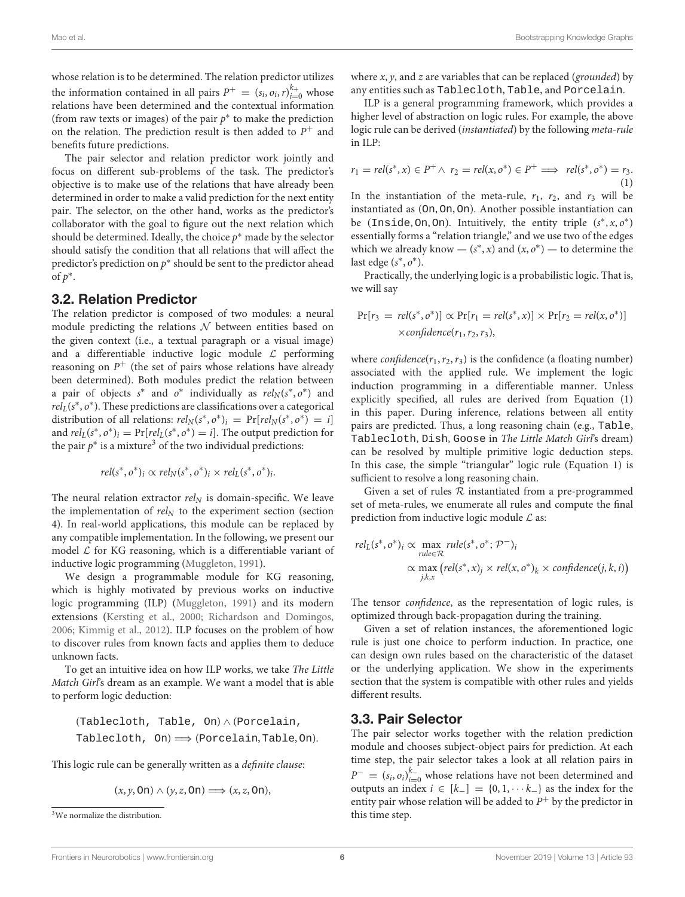whose relation is to be determined. The relation predictor utilizes the information contained in all pairs  $P^+ = (s_i, o_i, r)_{i=0}^{k_+}$  whose relations have been determined and the contextual information (from raw texts or images) of the pair  $p^*$  to make the prediction on the relation. The prediction result is then added to  $P^+$  and benefits future predictions.

The pair selector and relation predictor work jointly and focus on different sub-problems of the task. The predictor's objective is to make use of the relations that have already been determined in order to make a valid prediction for the next entity pair. The selector, on the other hand, works as the predictor's collaborator with the goal to figure out the next relation which should be determined. Ideally, the choice  $p^*$  made by the selector should satisfy the condition that all relations that will affect the predictor's prediction on  $p^*$  should be sent to the predictor ahead of  $p^*$ .

#### 3.2. Relation Predictor

The relation predictor is composed of two modules: a neural module predicting the relations  $N$  between entities based on the given context (i.e., a textual paragraph or a visual image) and a differentiable inductive logic module  $\mathcal L$  performing reasoning on  $P^+$  (the set of pairs whose relations have already been determined). Both modules predict the relation between a pair of objects  $s^*$  and  $o^*$  individually as  $rel_N(s^*, o^*)$  and  $rel<sub>L</sub>(s<sup>*</sup>, o<sup>*</sup>)$ . These predictions are classifications over a categorical distribution of all relations:  $rel_N(s^*, o^*)_i = Pr[rel_N(s^*, o^*) = i]$ and  $rel_L(s^*, o^*)_i = Pr[rel_L(s^*, o^*) = i]$ . The output prediction for the pair  $p^*$  is a mixture<sup>[3](#page-5-0)</sup> of the two individual predictions:

$$
rel(s^*, o^*)_i \propto rel_N(s^*, o^*)_i \times rel_L(s^*, o^*)_i.
$$

The neural relation extractor  $rel_N$  is domain-specific. We leave the implementation of  $rel_N$  to the experiment section (section 4). In real-world applications, this module can be replaced by any compatible implementation. In the following, we present our model  $\mathcal L$  for KG reasoning, which is a differentiable variant of inductive logic programming [\(Muggleton, 1991\)](#page-10-17).

We design a programmable module for KG reasoning, which is highly motivated by previous works on inductive logic programming (ILP) [\(Muggleton, 1991\)](#page-10-17) and its modern extensions [\(Kersting et al., 2000;](#page-10-31) [Richardson and Domingos,](#page-11-23) [2006;](#page-11-23) [Kimmig et al., 2012\)](#page-10-32). ILP focuses on the problem of how to discover rules from known facts and applies them to deduce unknown facts.

To get an intuitive idea on how ILP works, we take The Little Match Girl's dream as an example. We want a model that is able to perform logic deduction:

(Tablecloth, Table, On) ∧ (Porcelain, Tablecloth,  $On$   $\implies$  (Porcelain, Table, On).

This logic rule can be generally written as a definite clause:

$$
(x, y, \text{On}) \land (y, z, \text{On}) \Longrightarrow (x, z, \text{On}),
$$

where  $x$ ,  $y$ , and  $z$  are variables that can be replaced (grounded) by any entities such as Tablecloth, Table, and Porcelain.

ILP is a general programming framework, which provides a higher level of abstraction on logic rules. For example, the above logic rule can be derived (instantiated) by the following meta-rule in ILP:

$$
r_1 = rel(s^*, x) \in P^+ \land r_2 = rel(x, o^*) \in P^+ \implies rel(s^*, o^*) = r_3.
$$
\n(1)

In the instantiation of the meta-rule,  $r_1$ ,  $r_2$ , and  $r_3$  will be instantiated as (On, On, On). Another possible instantiation can be (Inside, On, On). Intuitively, the entity triple  $(s^*, x, o^*)$ essentially forms a "relation triangle," and we use two of the edges which we already know —  $(s^*, x)$  and  $(x, o^*)$  — to determine the last edge  $(s^*, o^*)$ .

Practically, the underlying logic is a probabilistic logic. That is, we will say

$$
Pr[r_3 = rel(s^*, o^*)] \propto Pr[r_1 = rel(s^*, x)] \times Pr[r_2 = rel(x, o^*)]
$$
  
× confidence(r<sub>1</sub>, r<sub>2</sub>, r<sub>3</sub>),

where  $confidence(r_1, r_2, r_3)$  is the confidence (a floating number) associated with the applied rule. We implement the logic induction programming in a differentiable manner. Unless explicitly specified, all rules are derived from Equation (1) in this paper. During inference, relations between all entity pairs are predicted. Thus, a long reasoning chain (e.g., Table, Tablecloth, Dish, Goose in The Little Match Girl's dream) can be resolved by multiple primitive logic deduction steps. In this case, the simple "triangular" logic rule (Equation 1) is sufficient to resolve a long reasoning chain.

Given a set of rules  $R$  instantiated from a pre-programmed set of meta-rules, we enumerate all rules and compute the final prediction from inductive logic module  $\mathcal L$  as:

$$
rel_L(s^*, o^*)_i \propto \max_{rule \in \mathcal{R}} rule(s^*, o^*; \mathcal{P}^-)_i
$$
  
 
$$
\propto \max_{j,k,x} (rel(s^*, x)_j \times rel(x, o^*)_k \times confidence(j, k, i))
$$

The tensor *confidence*, as the representation of logic rules, is optimized through back-propagation during the training.

Given a set of relation instances, the aforementioned logic rule is just one choice to perform induction. In practice, one can design own rules based on the characteristic of the dataset or the underlying application. We show in the experiments section that the system is compatible with other rules and yields different results.

#### 3.3. Pair Selector

The pair selector works together with the relation prediction module and chooses subject-object pairs for prediction. At each time step, the pair selector takes a look at all relation pairs in  $P^- = (s_i, o_i)_{i=0}^{k_-}$  whose relations have not been determined and outputs an index  $i \in [k_+] = \{0, 1, \cdots k_-\}$  as the index for the entity pair whose relation will be added to  $P^+$  by the predictor in this time step.

<span id="page-5-0"></span><sup>&</sup>lt;sup>3</sup>We normalize the distribution.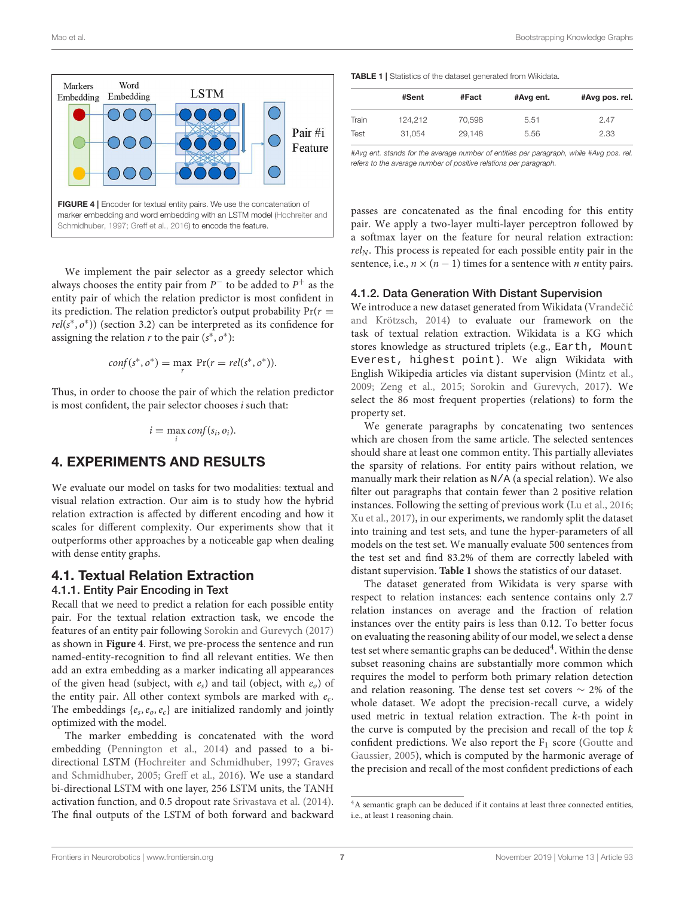

<span id="page-6-0"></span>We implement the pair selector as a greedy selector which always chooses the entity pair from  $P^-$  to be added to  $P^+$  as the entity pair of which the relation predictor is most confident in its prediction. The relation predictor's output probability  $Pr(r =$  $rel(s^*, o^*)$ ) (section 3.2) can be interpreted as its confidence for assigning the relation  $r$  to the pair  $(s^*, o^*)$ :

$$
conf(s^*, o^*) = \max_r \Pr(r = rel(s^*, o^*)).
$$

Thus, in order to choose the pair of which the relation predictor is most confident, the pair selector chooses i such that:

$$
i = \max_i conf(s_i, o_i).
$$

### 4. EXPERIMENTS AND RESULTS

We evaluate our model on tasks for two modalities: textual and visual relation extraction. Our aim is to study how the hybrid relation extraction is affected by different encoding and how it scales for different complexity. Our experiments show that it outperforms other approaches by a noticeable gap when dealing with dense entity graphs.

#### 4.1. Textual Relation Extraction

#### 4.1.1. Entity Pair Encoding in Text

Recall that we need to predict a relation for each possible entity pair. For the textual relation extraction task, we encode the features of an entity pair following [Sorokin and Gurevych \(2017\)](#page-11-0) as shown in **[Figure 4](#page-6-0)**. First, we pre-process the sentence and run named-entity-recognition to find all relevant entities. We then add an extra embedding as a marker indicating all appearances of the given head (subject, with  $e_s$ ) and tail (object, with  $e_0$ ) of the entity pair. All other context symbols are marked with  $e_c$ . The embeddings  $\{e_s, e_o, e_c\}$  are initialized randomly and jointly optimized with the model.

The marker embedding is concatenated with the word embedding [\(Pennington et al., 2014\)](#page-11-24) and passed to a bidirectional LSTM [\(Hochreiter and Schmidhuber, 1997;](#page-10-33) Graves and Schmidhuber, [2005;](#page-10-35) [Greff et al., 2016\)](#page-10-34). We use a standard bi-directional LSTM with one layer, 256 LSTM units, the TANH activation function, and 0.5 dropout rate [Srivastava et al. \(2014\)](#page-11-25). The final outputs of the LSTM of both forward and backward <span id="page-6-1"></span>TABLE 1 | Statistics of the dataset generated from Wikidata.

|       | #Sent   | #Fact  | #Avg ent. | #Avg pos. rel. |
|-------|---------|--------|-----------|----------------|
| Train | 124.212 | 70.598 | 5.51      | 2.47           |
| Test  | 31.054  | 29.148 | 5.56      | 2.33           |

*#Avg ent. stands for the average number of entities per paragraph, while #Avg pos. rel. refers to the average number of positive relations per paragraph.*

passes are concatenated as the final encoding for this entity pair. We apply a two-layer multi-layer perceptron followed by a softmax layer on the feature for neural relation extraction:  $rel_N$ . This process is repeated for each possible entity pair in the sentence, i.e.,  $n \times (n-1)$  times for a sentence with *n* entity pairs.

#### 4.1.2. Data Generation With Distant Supervision

We introduce a new dataset generated from Wikidata (Vrandečić and Krötzsch, [2014\)](#page-11-26) to evaluate our framework on the task of textual relation extraction. Wikidata is a KG which stores knowledge as structured triplets (e.g., Earth, Mount Everest, highest point). We align Wikidata with English Wikipedia articles via distant supervision [\(Mintz et al.,](#page-10-22) [2009;](#page-10-22) [Zeng et al., 2015;](#page-11-14) [Sorokin and Gurevych, 2017\)](#page-11-0). We select the 86 most frequent properties (relations) to form the property set.

We generate paragraphs by concatenating two sentences which are chosen from the same article. The selected sentences should share at least one common entity. This partially alleviates the sparsity of relations. For entity pairs without relation, we manually mark their relation as N/A (a special relation). We also filter out paragraphs that contain fewer than 2 positive relation instances. Following the setting of previous work [\(Lu et al., 2016;](#page-10-36) [Xu et al., 2017\)](#page-11-1), in our experiments, we randomly split the dataset into training and test sets, and tune the hyper-parameters of all models on the test set. We manually evaluate 500 sentences from the test set and find 83.2% of them are correctly labeled with distant supervision. **[Table 1](#page-6-1)** shows the statistics of our dataset.

The dataset generated from Wikidata is very sparse with respect to relation instances: each sentence contains only 2.7 relation instances on average and the fraction of relation instances over the entity pairs is less than 0.12. To better focus on evaluating the reasoning ability of our model, we select a dense test set where semantic graphs can be deduced<sup>[4](#page-6-2)</sup>. Within the dense subset reasoning chains are substantially more common which requires the model to perform both primary relation detection and relation reasoning. The dense test set covers ∼ 2% of the whole dataset. We adopt the precision-recall curve, a widely used metric in textual relation extraction. The k-th point in the curve is computed by the precision and recall of the top  $k$ confident predictions. We also report the  $F_1$  score (Goutte and Gaussier, [2005\)](#page-10-37), which is computed by the harmonic average of the precision and recall of the most confident predictions of each

<span id="page-6-2"></span><sup>&</sup>lt;sup>4</sup>A semantic graph can be deduced if it contains at least three connected entities, i.e., at least 1 reasoning chain.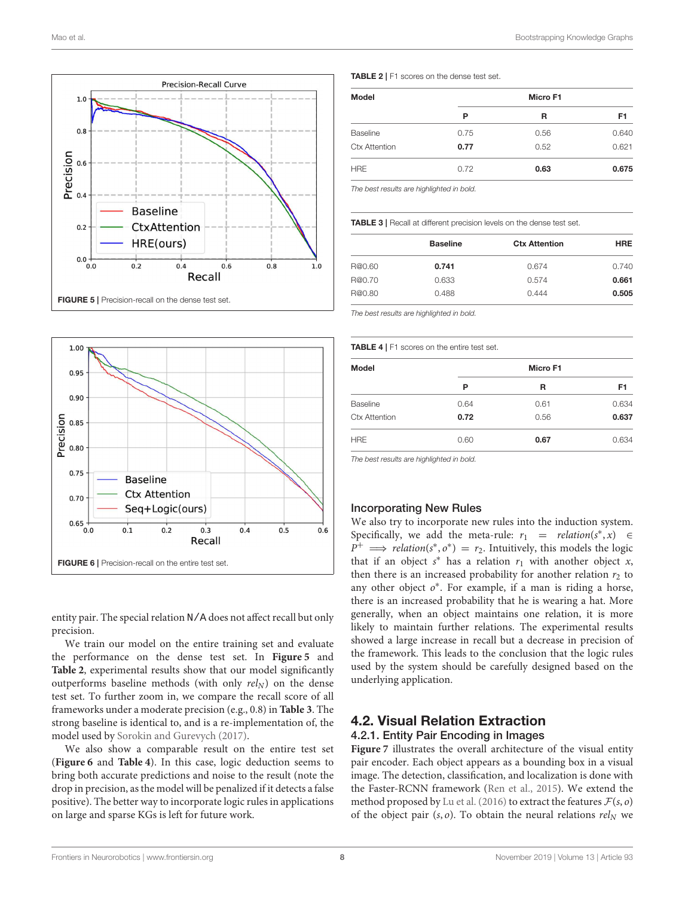

<span id="page-7-0"></span>

<span id="page-7-3"></span>entity pair. The special relation N/A does not affect recall but only precision.

We train our model on the entire training set and evaluate the performance on the dense test set. In **[Figure 5](#page-7-0)** and **[Table 2](#page-7-1)**, experimental results show that our model significantly outperforms baseline methods (with only  $rel_N$ ) on the dense test set. To further zoom in, we compare the recall score of all frameworks under a moderate precision (e.g., 0.8) in **[Table 3](#page-7-2)**. The strong baseline is identical to, and is a re-implementation of, the model used by [Sorokin and Gurevych \(2017\)](#page-11-0).

We also show a comparable result on the entire test set (**[Figure 6](#page-7-3)** and **[Table 4](#page-7-4)**). In this case, logic deduction seems to bring both accurate predictions and noise to the result (note the drop in precision, as the model will be penalized if it detects a false positive). The better way to incorporate logic rules in applications on large and sparse KGs is left for future work.

<span id="page-7-1"></span>TABLE 2 | F1 scores on the dense test set.

| <b>Model</b>         | Micro F1 |      |       |
|----------------------|----------|------|-------|
|                      | P        | R    | F1    |
| Baseline             | 0.75     | 0.56 | 0.640 |
| <b>Ctx Attention</b> | 0.77     | 0.52 | 0.621 |
| <b>HRE</b>           | 0.72     | 0.63 | 0.675 |

*The best results are highlighted in bold.*

<span id="page-7-2"></span>TABLE 3 | Recall at different precision levels on the dense test set.

|        | <b>Baseline</b> | <b>Ctx Attention</b> | <b>HRE</b> |
|--------|-----------------|----------------------|------------|
| R@0.60 | 0.741           | 0.674                | 0.740      |
| R@0.70 | 0.633           | 0.574                | 0.661      |
| R@0.80 | 0.488           | 0.444                | 0.505      |

*The best results are highlighted in bold.*

<span id="page-7-4"></span>TABLE 4 | F1 scores on the entire test set.

| <b>Model</b>         | Micro F1 |      |       |
|----------------------|----------|------|-------|
|                      | Ρ        | R    | F1    |
| Baseline             | 0.64     | 0.61 | 0.634 |
| <b>Ctx Attention</b> | 0.72     | 0.56 | 0.637 |
| <b>HRE</b>           | 0.60     | 0.67 | 0.634 |

*The best results are highlighted in bold.*

#### Incorporating New Rules

We also try to incorporate new rules into the induction system. Specifically, we add the meta-rule:  $r_1$  = relation(s<sup>\*</sup>, x)  $\in$  $P^+$  ⇒ *relation*(s<sup>\*</sup>, o<sup>\*</sup>) = *r*<sub>2</sub>. Intuitively, this models the logic that if an object  $s^*$  has a relation  $r_1$  with another object  $x$ , then there is an increased probability for another relation  $r_2$  to any other object  $o^*$ . For example, if a man is riding a horse, there is an increased probability that he is wearing a hat. More generally, when an object maintains one relation, it is more likely to maintain further relations. The experimental results showed a large increase in recall but a decrease in precision of the framework. This leads to the conclusion that the logic rules used by the system should be carefully designed based on the underlying application.

#### 4.2. Visual Relation Extraction 4.2.1. Entity Pair Encoding in Images

**[Figure 7](#page-8-0)** illustrates the overall architecture of the visual entity pair encoder. Each object appears as a bounding box in a visual image. The detection, classification, and localization is done with the Faster-RCNN framework [\(Ren et al., 2015\)](#page-11-5). We extend the method proposed by [Lu et al. \(2016\)](#page-10-36) to extract the features  $\mathcal{F}(s, o)$ of the object pair  $(s, o)$ . To obtain the neural relations rel<sub>N</sub> we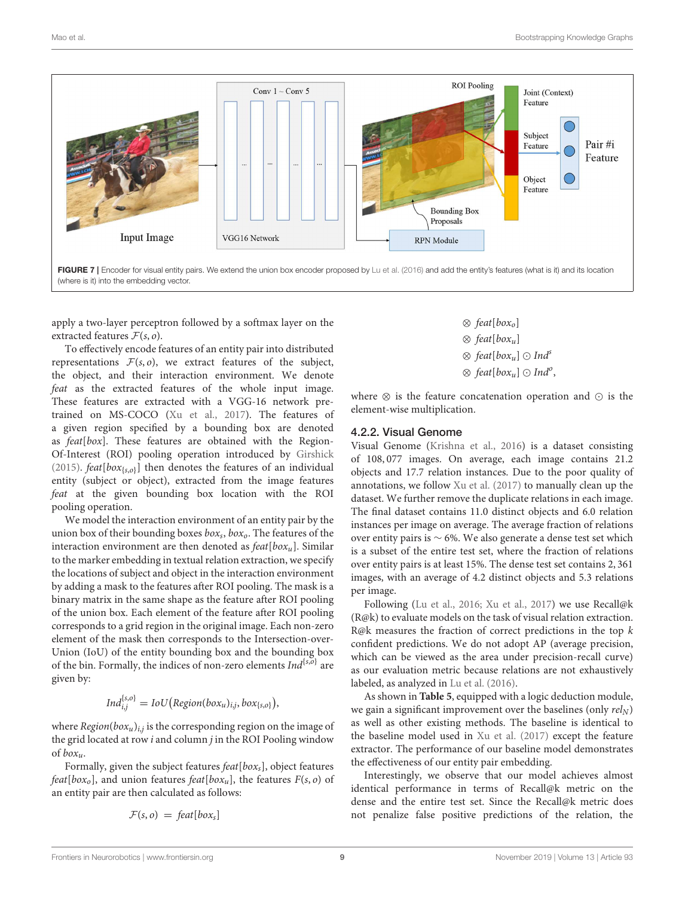

<span id="page-8-0"></span>apply a two-layer perceptron followed by a softmax layer on the extracted features  $\mathcal{F}(s, o)$ .

To effectively encode features of an entity pair into distributed representations  $F(s, o)$ , we extract features of the subject, the object, and their interaction environment. We denote feat as the extracted features of the whole input image. These features are extracted with a VGG-16 network pretrained on MS-COCO [\(Xu et al., 2017\)](#page-11-1). The features of a given region specified by a bounding box are denoted as feat[box]. These features are obtained with the Region-Of-Interest (ROI) pooling operation introduced by [Girshick](#page-10-38) [\(2015\)](#page-10-38).  $feat[box_{\{s,o\}}]$  then denotes the features of an individual entity (subject or object), extracted from the image features feat at the given bounding box location with the ROI pooling operation.

We model the interaction environment of an entity pair by the union box of their bounding boxes  $box_{s},box_{o}$ . The features of the interaction environment are then denoted as  $feat[box_u]$ . Similar to the marker embedding in textual relation extraction, we specify the locations of subject and object in the interaction environment by adding a mask to the features after ROI pooling. The mask is a binary matrix in the same shape as the feature after ROI pooling of the union box. Each element of the feature after ROI pooling corresponds to a grid region in the original image. Each non-zero element of the mask then corresponds to the Intersection-over-Union (IoU) of the entity bounding box and the bounding box of the bin. Formally, the indices of non-zero elements  $Ind^{\{s,\tilde{o}\}}$  are given by:

$$
Ind_{i,j}^{\{s,o\}} = IoU\big(Region(box_u)_{i,j}, box_{\{s,o\}}\big),
$$

where  $Region(box_u)_{i,j}$  is the corresponding region on the image of the grid located at row *i* and column *j* in the ROI Pooling window of  $box<sub>u</sub>$ .

Formally, given the subject features  $feat[box_s]$ , object features feat[box<sub>o</sub>], and union features feat[box<sub>u</sub>], the features  $F(s, o)$  of an entity pair are then calculated as follows:

$$
\mathcal{F}(s, o) = \text{feat}[box_s]
$$

$$
\otimes \text{ feat}[\text{box}_u]
$$
  

$$
\otimes \text{ feat}[\text{box}_u]
$$
  

$$
\otimes \text{ feat}[\text{box}_u] \odot \text{Ind}^s
$$
  

$$
\otimes \text{ feat}[\text{box}_u] \odot \text{Ind}^o
$$

,

where ⊗ is the feature concatenation operation and ⊙ is the element-wise multiplication.

#### 4.2.2. Visual Genome

Visual Genome [\(Krishna et al., 2016\)](#page-10-39) is a dataset consisting of 108, 077 images. On average, each image contains 21.2 objects and 17.7 relation instances. Due to the poor quality of annotations, we follow [Xu et al. \(2017\)](#page-11-1) to manually clean up the dataset. We further remove the duplicate relations in each image. The final dataset contains 11.0 distinct objects and 6.0 relation instances per image on average. The average fraction of relations over entity pairs is ∼ 6%. We also generate a dense test set which is a subset of the entire test set, where the fraction of relations over entity pairs is at least 15%. The dense test set contains 2, 361 images, with an average of 4.2 distinct objects and 5.3 relations per image.

Following [\(Lu et al., 2016;](#page-10-36) [Xu et al., 2017\)](#page-11-1) we use Recall@k (R@k) to evaluate models on the task of visual relation extraction. R@k measures the fraction of correct predictions in the top k confident predictions. We do not adopt AP (average precision, which can be viewed as the area under precision-recall curve) as our evaluation metric because relations are not exhaustively labeled, as analyzed in [Lu et al. \(2016\)](#page-10-36).

As shown in **[Table 5](#page-9-0)**, equipped with a logic deduction module, we gain a significant improvement over the baselines (only  $rel_N$ ) as well as other existing methods. The baseline is identical to the baseline model used in [Xu et al. \(2017\)](#page-11-1) except the feature extractor. The performance of our baseline model demonstrates the effectiveness of our entity pair embedding.

Interestingly, we observe that our model achieves almost identical performance in terms of Recall@k metric on the dense and the entire test set. Since the Recall@k metric does not penalize false positive predictions of the relation, the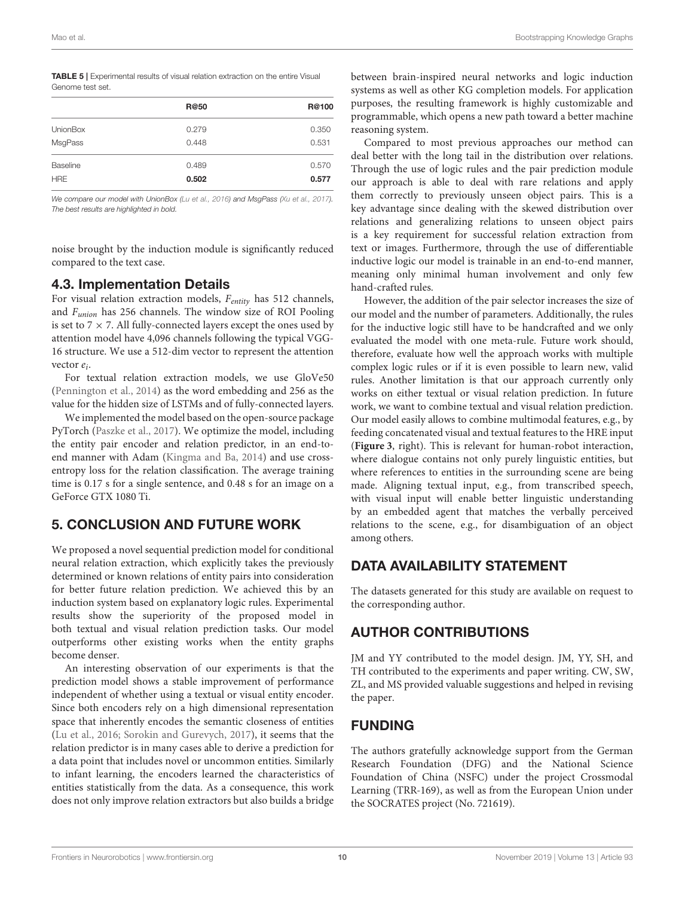<span id="page-9-0"></span>

| <b>TABLE 5</b>   Experimental results of visual relation extraction on the entire Visual |  |
|------------------------------------------------------------------------------------------|--|
| Genome test set.                                                                         |  |

|                 | R@50  | R@100 |
|-----------------|-------|-------|
| <b>UnionBox</b> | 0.279 | 0.350 |
| MsgPass         | 0.448 | 0.531 |
| Baseline        | 0.489 | 0.570 |
| <b>HRE</b>      | 0.502 | 0.577 |

*We compare our model with UnionBox [\(Lu et al., 2016\)](#page-10-36) and MsgPass [\(Xu et al., 2017\)](#page-11-1). The best results are highlighted in bold.*

noise brought by the induction module is significantly reduced compared to the text case.

### 4.3. Implementation Details

For visual relation extraction models,  $F_{entity}$  has 512 channels, and Funion has 256 channels. The window size of ROI Pooling is set to  $7 \times 7$ . All fully-connected layers except the ones used by attention model have 4,096 channels following the typical VGG-16 structure. We use a 512-dim vector to represent the attention vector  $e_i$ .

For textual relation extraction models, we use GloVe50 [\(Pennington et al., 2014\)](#page-11-24) as the word embedding and 256 as the value for the hidden size of LSTMs and of fully-connected layers.

We implemented the model based on the open-source package PyTorch [\(Paszke et al., 2017\)](#page-11-27). We optimize the model, including the entity pair encoder and relation predictor, in an end-toend manner with Adam [\(Kingma and Ba, 2014\)](#page-10-40) and use crossentropy loss for the relation classification. The average training time is 0.17 s for a single sentence, and 0.48 s for an image on a GeForce GTX 1080 Ti.

# 5. CONCLUSION AND FUTURE WORK

We proposed a novel sequential prediction model for conditional neural relation extraction, which explicitly takes the previously determined or known relations of entity pairs into consideration for better future relation prediction. We achieved this by an induction system based on explanatory logic rules. Experimental results show the superiority of the proposed model in both textual and visual relation prediction tasks. Our model outperforms other existing works when the entity graphs become denser.

An interesting observation of our experiments is that the prediction model shows a stable improvement of performance independent of whether using a textual or visual entity encoder. Since both encoders rely on a high dimensional representation space that inherently encodes the semantic closeness of entities [\(Lu et al., 2016;](#page-10-36) [Sorokin and Gurevych, 2017\)](#page-11-0), it seems that the relation predictor is in many cases able to derive a prediction for a data point that includes novel or uncommon entities. Similarly to infant learning, the encoders learned the characteristics of entities statistically from the data. As a consequence, this work does not only improve relation extractors but also builds a bridge between brain-inspired neural networks and logic induction systems as well as other KG completion models. For application purposes, the resulting framework is highly customizable and programmable, which opens a new path toward a better machine reasoning system.

Compared to most previous approaches our method can deal better with the long tail in the distribution over relations. Through the use of logic rules and the pair prediction module our approach is able to deal with rare relations and apply them correctly to previously unseen object pairs. This is a key advantage since dealing with the skewed distribution over relations and generalizing relations to unseen object pairs is a key requirement for successful relation extraction from text or images. Furthermore, through the use of differentiable inductive logic our model is trainable in an end-to-end manner, meaning only minimal human involvement and only few hand-crafted rules.

However, the addition of the pair selector increases the size of our model and the number of parameters. Additionally, the rules for the inductive logic still have to be handcrafted and we only evaluated the model with one meta-rule. Future work should, therefore, evaluate how well the approach works with multiple complex logic rules or if it is even possible to learn new, valid rules. Another limitation is that our approach currently only works on either textual or visual relation prediction. In future work, we want to combine textual and visual relation prediction. Our model easily allows to combine multimodal features, e.g., by feeding concatenated visual and textual features to the HRE input (**[Figure 3](#page-2-0)**, right). This is relevant for human-robot interaction, where dialogue contains not only purely linguistic entities, but where references to entities in the surrounding scene are being made. Aligning textual input, e.g., from transcribed speech, with visual input will enable better linguistic understanding by an embedded agent that matches the verbally perceived relations to the scene, e.g., for disambiguation of an object among others.

# DATA AVAILABILITY STATEMENT

The datasets generated for this study are available on request to the corresponding author.

# AUTHOR CONTRIBUTIONS

JM and YY contributed to the model design. JM, YY, SH, and TH contributed to the experiments and paper writing. CW, SW, ZL, and MS provided valuable suggestions and helped in revising the paper.

# FUNDING

The authors gratefully acknowledge support from the German Research Foundation (DFG) and the National Science Foundation of China (NSFC) under the project Crossmodal Learning (TRR-169), as well as from the European Union under the SOCRATES project (No. 721619).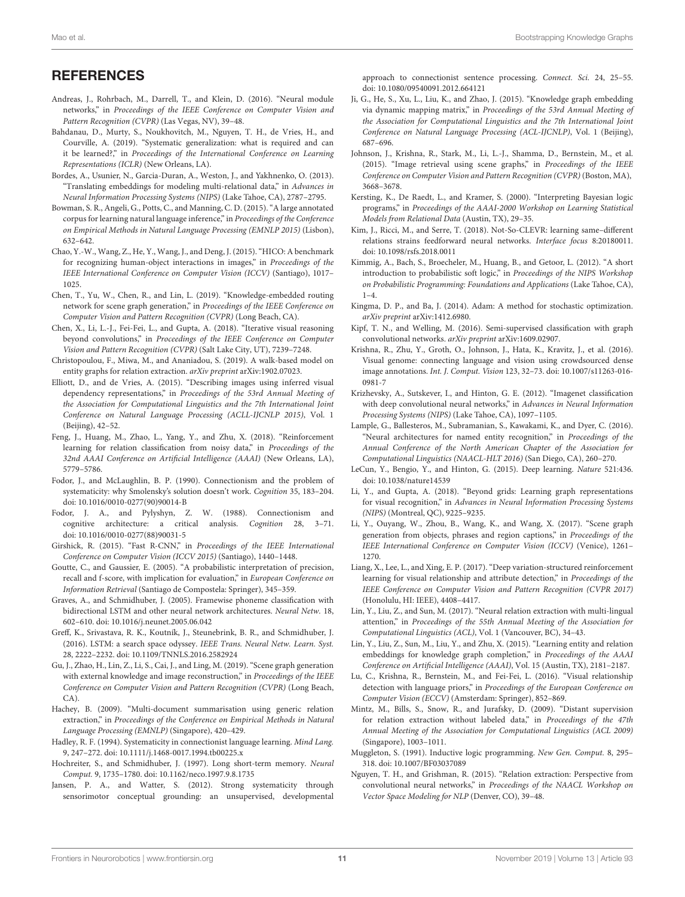### **REFERENCES**

- <span id="page-10-15"></span>Andreas, J., Rohrbach, M., Darrell, T., and Klein, D. (2016). "Neural module networks," in Proceedings of the IEEE Conference on Computer Vision and Pattern Recognition (CVPR) (Las Vegas, NV), 39–48.
- <span id="page-10-14"></span>Bahdanau, D., Murty, S., Noukhovitch, M., Nguyen, T. H., de Vries, H., and Courville, A. (2019). "Systematic generalization: what is required and can it be learned?," in Proceedings of the International Conference on Learning Representations (ICLR) (New Orleans, LA).
- <span id="page-10-4"></span>Bordes, A., Usunier, N., Garcia-Duran, A., Weston, J., and Yakhnenko, O. (2013). "Translating embeddings for modeling multi-relational data," in Advances in Neural Information Processing Systems (NIPS) (Lake Tahoe, CA), 2787–2795.
- <span id="page-10-3"></span>Bowman, S. R., Angeli, G., Potts, C., and Manning, C. D. (2015)."A large annotated corpus for learning natural language inference," in Proceedings of the Conference on Empirical Methods in Natural Language Processing (EMNLP 2015) (Lisbon), 632–642.
- <span id="page-10-24"></span>Chao, Y.-W., Wang, Z., He, Y., Wang, J., and Deng, J. (2015). "HICO: A benchmark for recognizing human-object interactions in images," in Proceedings of the IEEE International Conference on Computer Vision (ICCV) (Santiago), 1017– 1025.
- <span id="page-10-29"></span>Chen, T., Yu, W., Chen, R., and Lin, L. (2019). "Knowledge-embedded routing network for scene graph generation," in Proceedings of the IEEE Conference on Computer Vision and Pattern Recognition (CVPR) (Long Beach, CA).
- <span id="page-10-16"></span>Chen, X., Li, L.-J., Fei-Fei, L., and Gupta, A. (2018). "Iterative visual reasoning beyond convolutions," in Proceedings of the IEEE Conference on Computer Vision and Pattern Recognition (CVPR) (Salt Lake City, UT), 7239–7248.
- <span id="page-10-21"></span>Christopoulou, F., Miwa, M., and Ananiadou, S. (2019). A walk-based model on entity graphs for relation extraction. arXiv preprint arXiv:1902.07023.
- <span id="page-10-23"></span>Elliott, D., and de Vries, A. (2015). "Describing images using inferred visual dependency representations," in Proceedings of the 53rd Annual Meeting of the Association for Computational Linguistics and the 7th International Joint Conference on Natural Language Processing (ACLL-IJCNLP 2015), Vol. 1 (Beijing), 42–52.
- <span id="page-10-20"></span>Feng, J., Huang, M., Zhao, L., Yang, Y., and Zhu, X. (2018). "Reinforcement learning for relation classification from noisy data," in Proceedings of the 32nd AAAI Conference on Artificial Intelligence (AAAI) (New Orleans, LA), 5779–5786.
- <span id="page-10-9"></span>Fodor, J., and McLaughlin, B. P. (1990). Connectionism and the problem of systematicity: why Smolensky's solution doesn't work. Cognition 35, 183–204. doi: [10.1016/0010-0277\(90\)90014-B](https://doi.org/10.1016/0010-0277(90)90014-B)
- <span id="page-10-8"></span>Fodor, J. A., and Pylyshyn, Z. W. (1988). Connectionism and cognitive architecture: a critical analysis. Cognition 28, 3–71. doi: [10.1016/0010-0277\(88\)90031-5](https://doi.org/10.1016/0010-0277(88)90031-5)
- <span id="page-10-38"></span>Girshick, R. (2015). "Fast R-CNN," in Proceedings of the IEEE International Conference on Computer Vision (ICCV 2015) (Santiago), 1440–1448.
- <span id="page-10-37"></span>Goutte, C., and Gaussier, E. (2005). "A probabilistic interpretation of precision, recall and f-score, with implication for evaluation," in European Conference on Information Retrieval (Santiago de Compostela: Springer), 345–359.
- <span id="page-10-35"></span>Graves, A., and Schmidhuber, J. (2005). Framewise phoneme classification with bidirectional LSTM and other neural network architectures. Neural Netw. 18, 602–610. doi: [10.1016/j.neunet.2005.06.042](https://doi.org/10.1016/j.neunet.2005.06.042)
- <span id="page-10-34"></span>Greff, K., Srivastava, R. K., Koutník, J., Steunebrink, B. R., and Schmidhuber, J. (2016). LSTM: a search space odyssey. IEEE Trans. Neural Netw. Learn. Syst. 28, 2222–2232. doi: [10.1109/TNNLS.2016.2582924](https://doi.org/10.1109/TNNLS.2016.2582924)
- <span id="page-10-30"></span>Gu, J., Zhao, H., Lin, Z., Li, S., Cai, J., and Ling, M. (2019). "Scene graph generation with external knowledge and image reconstruction," in Proceedings of the IEEE Conference on Computer Vision and Pattern Recognition (CVPR) (Long Beach, CA).
- <span id="page-10-0"></span>Hachey, B. (2009). "Multi-document summarisation using generic relation extraction," in Proceedings of the Conference on Empirical Methods in Natural Language Processing (EMNLP) (Singapore), 420–429.
- <span id="page-10-10"></span>Hadley, R. F. (1994). Systematicity in connectionist language learning. Mind Lang. 9, 247–272. doi: [10.1111/j.1468-0017.1994.tb00225.x](https://doi.org/10.1111/j.1468-0017.1994.tb00225.x)
- <span id="page-10-33"></span>Hochreiter, S., and Schmidhuber, J. (1997). Long short-term memory. Neural Comput. 9, 1735–1780. doi: [10.1162/neco.1997.9.8.1735](https://doi.org/10.1162/neco.1997.9.8.1735)
- <span id="page-10-11"></span>Jansen, P. A., and Watter, S. (2012). Strong systematicity through sensorimotor conceptual grounding: an unsupervised, developmental

approach to connectionist sentence processing. Connect. Sci. 24, 25–55. doi: [10.1080/09540091.2012.664121](https://doi.org/10.1080/09540091.2012.664121)

- <span id="page-10-5"></span>Ji, G., He, S., Xu, L., Liu, K., and Zhao, J. (2015). "Knowledge graph embedding via dynamic mapping matrix," in Proceedings of the 53rd Annual Meeting of the Association for Computational Linguistics and the 7th International Joint Conference on Natural Language Processing (ACL-IJCNLP), Vol. 1 (Beijing), 687–696.
- <span id="page-10-25"></span>Johnson, J., Krishna, R., Stark, M., Li, L.-J., Shamma, D., Bernstein, M., et al. (2015). "Image retrieval using scene graphs," in Proceedings of the IEEE Conference on Computer Vision and Pattern Recognition (CVPR) (Boston, MA), 3668–3678.
- <span id="page-10-31"></span>Kersting, K., De Raedt, L., and Kramer, S. (2000). "Interpreting Bayesian logic programs," in Proceedings of the AAAI-2000 Workshop on Learning Statistical Models from Relational Data (Austin, TX), 29–35.
- <span id="page-10-13"></span>Kim, J., Ricci, M., and Serre, T. (2018). Not-So-CLEVR: learning same–different relations strains feedforward neural networks. Interface focus 8:20180011. doi: [10.1098/rsfs.2018.0011](https://doi.org/10.1098/rsfs.2018.0011)
- <span id="page-10-32"></span>Kimmig, A., Bach, S., Broecheler, M., Huang, B., and Getoor, L. (2012). "A short introduction to probabilistic soft logic," in Proceedings of the NIPS Workshop on Probabilistic Programming: Foundations and Applications (Lake Tahoe, CA), 1–4.
- <span id="page-10-40"></span>Kingma, D. P., and Ba, J. (2014). Adam: A method for stochastic optimization. arXiv preprint arXiv:1412.6980.
- <span id="page-10-12"></span>Kipf, T. N., and Welling, M. (2016). Semi-supervised classification with graph convolutional networks. arXiv preprint arXiv:1609.02907.
- <span id="page-10-39"></span>Krishna, R., Zhu, Y., Groth, O., Johnson, J., Hata, K., Kravitz, J., et al. (2016). Visual genome: connecting language and vision using crowdsourced dense image annotations. Int. J. Comput. Vision [123, 32–73. doi: 10.1007/s11263-016-](https://doi.org/10.1007/s11263-016-0981-7) 0981-7
- <span id="page-10-2"></span>Krizhevsky, A., Sutskever, I., and Hinton, G. E. (2012). "Imagenet classification with deep convolutional neural networks," in Advances in Neural Information Processing Systems (NIPS) (Lake Tahoe, CA), 1097–1105.
- <span id="page-10-1"></span>Lample, G., Ballesteros, M., Subramanian, S., Kawakami, K., and Dyer, C. (2016). "Neural architectures for named entity recognition," in Proceedings of the Annual Conference of the North American Chapter of the Association for Computational Linguistics (NAACL-HLT 2016) (San Diego, CA), 260–270.
- <span id="page-10-7"></span>LeCun, Y., Bengio, Y., and Hinton, G. (2015). Deep learning. Nature 521:436. doi: [10.1038/nature14539](https://doi.org/10.1038/nature14539)
- <span id="page-10-28"></span>Li, Y., and Gupta, A. (2018). "Beyond grids: Learning graph representations for visual recognition," in Advances in Neural Information Processing Systems (NIPS) (Montreal, QC), 9225–9235.
- <span id="page-10-26"></span>Li, Y., Ouyang, W., Zhou, B., Wang, K., and Wang, X. (2017). "Scene graph generation from objects, phrases and region captions," in Proceedings of the IEEE International Conference on Computer Vision (ICCV) (Venice), 1261– 1270.
- <span id="page-10-27"></span>Liang, X., Lee, L., and Xing, E. P. (2017). "Deep variation-structured reinforcement learning for visual relationship and attribute detection," in Proceedings of the IEEE Conference on Computer Vision and Pattern Recognition (CVPR 2017) (Honolulu, HI: IEEE), 4408–4417.
- <span id="page-10-19"></span>Lin, Y., Liu, Z., and Sun, M. (2017). "Neural relation extraction with multi-lingual attention," in Proceedings of the 55th Annual Meeting of the Association for Computational Linguistics (ACL), Vol. 1 (Vancouver, BC), 34–43.
- <span id="page-10-6"></span>Lin, Y., Liu, Z., Sun, M., Liu, Y., and Zhu, X. (2015). "Learning entity and relation embeddings for knowledge graph completion," in Proceedings of the AAAI Conference on Artificial Intelligence (AAAI), Vol. 15 (Austin, TX), 2181–2187.
- <span id="page-10-36"></span>Lu, C., Krishna, R., Bernstein, M., and Fei-Fei, L. (2016). "Visual relationship detection with language priors," in Proceedings of the European Conference on Computer Vision (ECCV) (Amsterdam: Springer), 852–869.
- <span id="page-10-22"></span>Mintz, M., Bills, S., Snow, R., and Jurafsky, D. (2009). "Distant supervision for relation extraction without labeled data," in Proceedings of the 47th Annual Meeting of the Association for Computational Linguistics (ACL 2009) (Singapore), 1003–1011.
- <span id="page-10-17"></span>Muggleton, S. (1991). Inductive logic programming. New Gen. Comput. 8, 295– 318. doi: [10.1007/BF03037089](https://doi.org/10.1007/BF03037089)
- <span id="page-10-18"></span>Nguyen, T. H., and Grishman, R. (2015). "Relation extraction: Perspective from convolutional neural networks," in Proceedings of the NAACL Workshop on Vector Space Modeling for NLP (Denver, CO), 39–48.